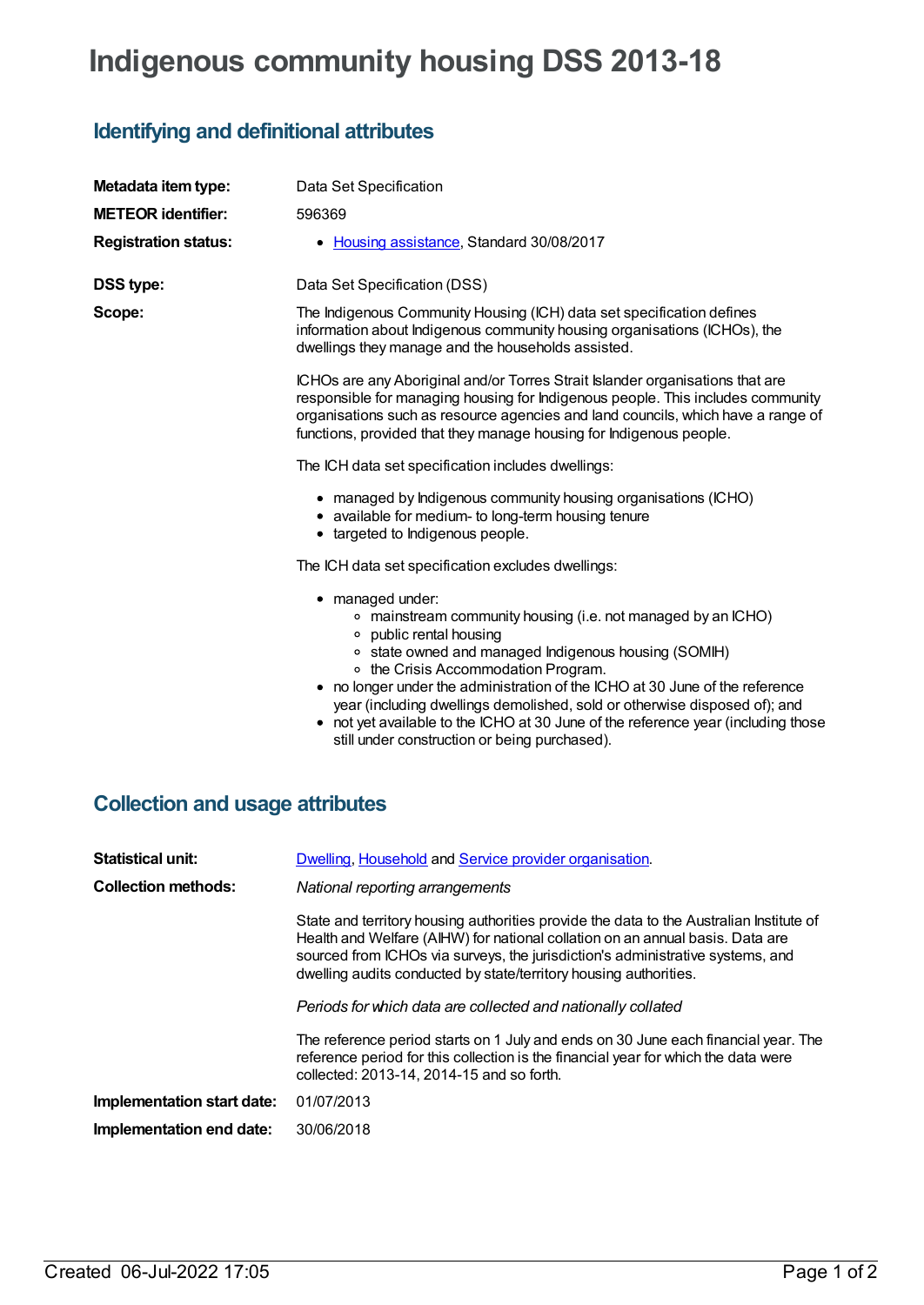# **Indigenous community housing DSS 2013-18**

# **Identifying and definitional attributes**

| Metadata item type:                    | Data Set Specification                                                                                                                                                                                                                                                                                                                                                                                                                                                                                        |  |
|----------------------------------------|---------------------------------------------------------------------------------------------------------------------------------------------------------------------------------------------------------------------------------------------------------------------------------------------------------------------------------------------------------------------------------------------------------------------------------------------------------------------------------------------------------------|--|
| <b>METEOR identifier:</b>              | 596369                                                                                                                                                                                                                                                                                                                                                                                                                                                                                                        |  |
| <b>Registration status:</b>            | • Housing assistance, Standard 30/08/2017                                                                                                                                                                                                                                                                                                                                                                                                                                                                     |  |
| DSS type:                              | Data Set Specification (DSS)                                                                                                                                                                                                                                                                                                                                                                                                                                                                                  |  |
| Scope:                                 | The Indigenous Community Housing (ICH) data set specification defines<br>information about Indigenous community housing organisations (ICHOs), the<br>dwellings they manage and the households assisted.                                                                                                                                                                                                                                                                                                      |  |
|                                        | ICHOs are any Aboriginal and/or Torres Strait Islander organisations that are<br>responsible for managing housing for Indigenous people. This includes community<br>organisations such as resource agencies and land councils, which have a range of<br>functions, provided that they manage housing for Indigenous people.                                                                                                                                                                                   |  |
|                                        | The ICH data set specification includes dwellings:                                                                                                                                                                                                                                                                                                                                                                                                                                                            |  |
|                                        | • managed by Indigenous community housing organisations (ICHO)<br>• available for medium- to long-term housing tenure<br>• targeted to Indigenous people.                                                                                                                                                                                                                                                                                                                                                     |  |
|                                        | The ICH data set specification excludes dwellings:                                                                                                                                                                                                                                                                                                                                                                                                                                                            |  |
|                                        | • managed under:<br>○ mainstream community housing (i.e. not managed by an ICHO)<br>○ public rental housing<br>○ state owned and managed Indigenous housing (SOMIH)<br>○ the Crisis Accommodation Program.<br>• no longer under the administration of the ICHO at 30 June of the reference<br>year (including dwellings demolished, sold or otherwise disposed of); and<br>• not yet available to the ICHO at 30 June of the reference year (including those<br>still under construction or being purchased). |  |
| <b>Collection and usage attributes</b> |                                                                                                                                                                                                                                                                                                                                                                                                                                                                                                               |  |

| <b>Statistical unit:</b>   | Dwelling, Household and Service provider organisation.                                                                                                                                                                                                                                                                          |
|----------------------------|---------------------------------------------------------------------------------------------------------------------------------------------------------------------------------------------------------------------------------------------------------------------------------------------------------------------------------|
| <b>Collection methods:</b> | National reporting arrangements                                                                                                                                                                                                                                                                                                 |
|                            | State and territory housing authorities provide the data to the Australian Institute of<br>Health and Welfare (AIHW) for national collation on an annual basis. Data are<br>sourced from ICHOs via surveys, the jurisdiction's administrative systems, and<br>dwelling audits conducted by state/territory housing authorities. |
|                            | Periods for which data are collected and nationally collated                                                                                                                                                                                                                                                                    |
|                            | The reference period starts on 1 July and ends on 30 June each financial year. The<br>reference period for this collection is the financial year for which the data were<br>collected: 2013-14, 2014-15 and so forth.                                                                                                           |
| Implementation start date: | 01/07/2013                                                                                                                                                                                                                                                                                                                      |
| Implementation end date:   | 30/06/2018                                                                                                                                                                                                                                                                                                                      |